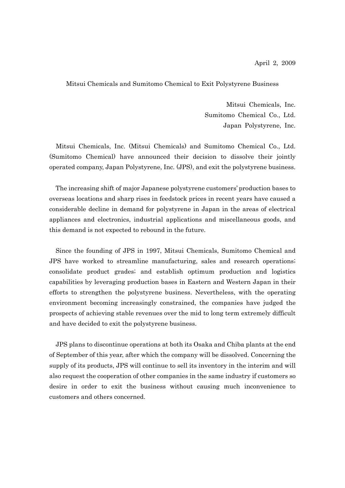## Mitsui Chemicals and Sumitomo Chemical to Exit Polystyrene Business

Mitsui Chemicals, Inc. Sumitomo Chemical Co., Ltd. Japan Polystyrene, Inc.

Mitsui Chemicals, Inc. (Mitsui Chemicals) and Sumitomo Chemical Co., Ltd. (Sumitomo Chemical) have announced their decision to dissolve their jointly operated company, Japan Polystyrene, Inc. (JPS), and exit the polystyrene business.

The increasing shift of major Japanese polystyrene customers' production bases to overseas locations and sharp rises in feedstock prices in recent years have caused a considerable decline in demand for polystyrene in Japan in the areas of electrical appliances and electronics, industrial applications and miscellaneous goods, and this demand is not expected to rebound in the future.

Since the founding of JPS in 1997, Mitsui Chemicals, Sumitomo Chemical and JPS have worked to streamline manufacturing, sales and research operations; consolidate product grades; and establish optimum production and logistics capabilities by leveraging production bases in Eastern and Western Japan in their efforts to strengthen the polystyrene business. Nevertheless, with the operating environment becoming increasingly constrained, the companies have judged the prospects of achieving stable revenues over the mid to long term extremely difficult and have decided to exit the polystyrene business.

JPS plans to discontinue operations at both its Osaka and Chiba plants at the end of September of this year, after which the company will be dissolved. Concerning the supply of its products, JPS will continue to sell its inventory in the interim and will also request the cooperation of other companies in the same industry if customers so desire in order to exit the business without causing much inconvenience to customers and others concerned.